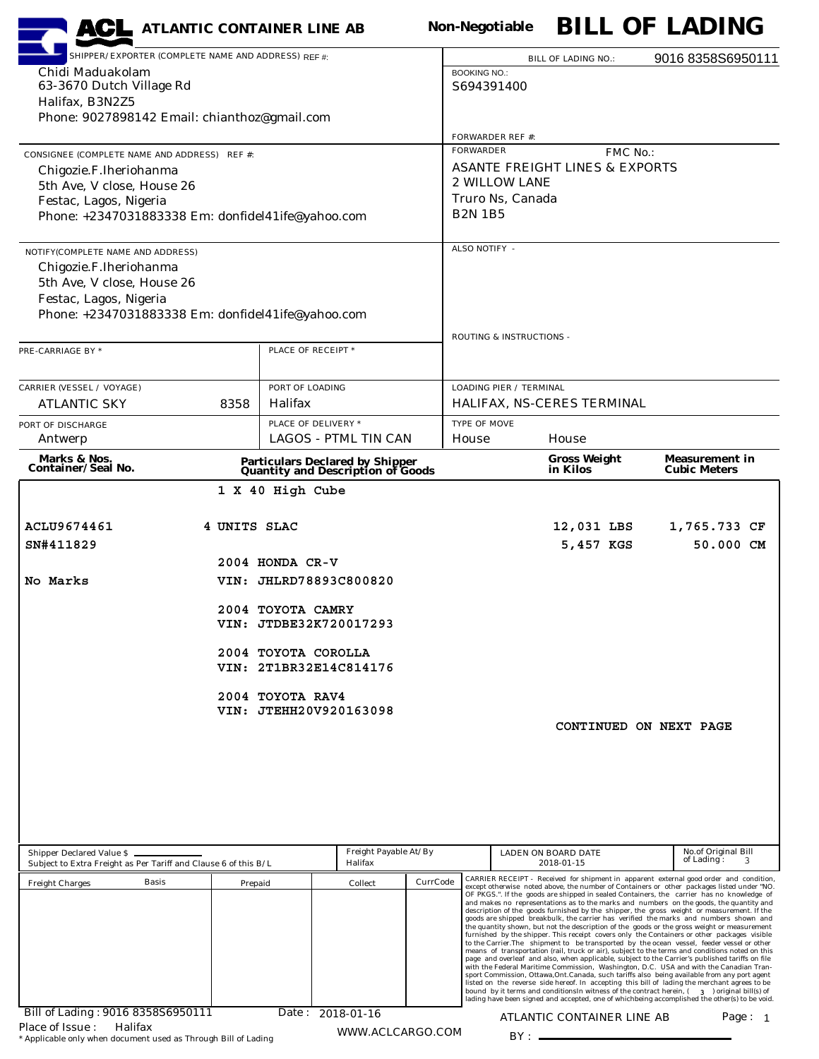| <b>ACL</b> ATLANTIC CONTAINER LINE AB                                                          |              |                                |                                                                              |          | <b>Non-Negotiable</b>                       |                                   |                                           |          | <b>BILL OF LADING</b>                                                                                                                                                                                                                                                                         |
|------------------------------------------------------------------------------------------------|--------------|--------------------------------|------------------------------------------------------------------------------|----------|---------------------------------------------|-----------------------------------|-------------------------------------------|----------|-----------------------------------------------------------------------------------------------------------------------------------------------------------------------------------------------------------------------------------------------------------------------------------------------|
| SHIPPER/EXPORTER (COMPLETE NAME AND ADDRESS) REF #:                                            |              |                                |                                                                              |          |                                             |                                   | <b>BILL OF LADING NO.:</b>                |          | 9016 8358S6950111                                                                                                                                                                                                                                                                             |
| Chidi Maduakolam<br>63-3670 Dutch Village Rd                                                   |              |                                |                                                                              |          | <b>BOOKING NO.:</b><br>S694391400           |                                   |                                           |          |                                                                                                                                                                                                                                                                                               |
| Halifax, B3N2Z5                                                                                |              |                                |                                                                              |          |                                             |                                   |                                           |          |                                                                                                                                                                                                                                                                                               |
| Phone: 9027898142 Email: chianthoz@gmail.com                                                   |              |                                |                                                                              |          |                                             |                                   |                                           |          |                                                                                                                                                                                                                                                                                               |
| CONSIGNEE (COMPLETE NAME AND ADDRESS) REF #:                                                   |              |                                |                                                                              |          | <b>FORWARDER REF #:</b><br><b>FORWARDER</b> |                                   |                                           | FMC No.: |                                                                                                                                                                                                                                                                                               |
| Chigozie.F.Iheriohanma                                                                         |              |                                |                                                                              |          |                                             |                                   | <b>ASANTE FREIGHT LINES &amp; EXPORTS</b> |          |                                                                                                                                                                                                                                                                                               |
| 5th Ave, V close, House 26                                                                     |              |                                |                                                                              |          |                                             | 2 WILLOW LANE<br>Truro Ns, Canada |                                           |          |                                                                                                                                                                                                                                                                                               |
| Festac, Lagos, Nigeria<br>Phone: +2347031883338 Em: donfidel41ife@yahoo.com                    |              |                                |                                                                              |          | <b>B2N 1B5</b>                              |                                   |                                           |          |                                                                                                                                                                                                                                                                                               |
|                                                                                                |              |                                |                                                                              |          |                                             |                                   |                                           |          |                                                                                                                                                                                                                                                                                               |
| NOTIFY(COMPLETE NAME AND ADDRESS)<br>Chigozie.F.Iheriohanma                                    |              |                                |                                                                              |          | ALSO NOTIFY -                               |                                   |                                           |          |                                                                                                                                                                                                                                                                                               |
| 5th Ave, V close, House 26                                                                     |              |                                |                                                                              |          |                                             |                                   |                                           |          |                                                                                                                                                                                                                                                                                               |
| Festac, Lagos, Nigeria                                                                         |              |                                |                                                                              |          |                                             |                                   |                                           |          |                                                                                                                                                                                                                                                                                               |
| Phone: +2347031883338 Em: donfidel41ife@yahoo.com                                              |              |                                |                                                                              |          |                                             |                                   |                                           |          |                                                                                                                                                                                                                                                                                               |
| PRE-CARRIAGE BY *                                                                              |              | PLACE OF RECEIPT *             |                                                                              |          |                                             | ROUTING & INSTRUCTIONS -          |                                           |          |                                                                                                                                                                                                                                                                                               |
|                                                                                                |              |                                |                                                                              |          |                                             |                                   |                                           |          |                                                                                                                                                                                                                                                                                               |
| <b>CARRIER (VESSEL / VOYAGE)</b>                                                               |              | PORT OF LOADING                |                                                                              |          |                                             | <b>LOADING PIER / TERMINAL</b>    |                                           |          |                                                                                                                                                                                                                                                                                               |
| <b>ATLANTIC SKY</b>                                                                            | 8358         | Halifax<br>PLACE OF DELIVERY * |                                                                              |          | <b>TYPE OF MOVE</b>                         |                                   | HALIFAX, NS-CERES TERMINAL                |          |                                                                                                                                                                                                                                                                                               |
| PORT OF DISCHARGE<br>Antwerp                                                                   |              |                                | <b>LAGOS - PTML TIN CAN</b>                                                  |          | House                                       |                                   | House                                     |          |                                                                                                                                                                                                                                                                                               |
| Marks & Nos.<br>Container/Seal No.                                                             |              |                                | <b>Particulars Declared by Shipper<br/>Quantity and Description of Goods</b> |          |                                             |                                   | <b>Gross Weight</b><br>in Kilos           |          | <b>Measurement in</b><br><b>Cubic Meters</b>                                                                                                                                                                                                                                                  |
|                                                                                                |              | 1 X 40 High Cube               |                                                                              |          |                                             |                                   |                                           |          |                                                                                                                                                                                                                                                                                               |
|                                                                                                |              |                                |                                                                              |          |                                             |                                   |                                           |          |                                                                                                                                                                                                                                                                                               |
| <b>ACLU9674461</b>                                                                             | 4 UNITS SLAC |                                |                                                                              |          |                                             |                                   | 12,031 LBS                                |          | 1,765.733 CF                                                                                                                                                                                                                                                                                  |
| SN#411829                                                                                      |              |                                |                                                                              |          |                                             |                                   | 5,457 KGS                                 |          | 50.000 CM                                                                                                                                                                                                                                                                                     |
| No Marks                                                                                       |              | 2004 HONDA CR-V                |                                                                              |          |                                             |                                   |                                           |          |                                                                                                                                                                                                                                                                                               |
|                                                                                                |              |                                | VIN: JHLRD78893C800820                                                       |          |                                             |                                   |                                           |          |                                                                                                                                                                                                                                                                                               |
|                                                                                                |              | 2004 TOYOTA CAMRY              |                                                                              |          |                                             |                                   |                                           |          |                                                                                                                                                                                                                                                                                               |
|                                                                                                |              |                                | VIN: JTDBE32K720017293                                                       |          |                                             |                                   |                                           |          |                                                                                                                                                                                                                                                                                               |
|                                                                                                |              | 2004 TOYOTA COROLLA            | VIN: 2T1BR32E14C814176                                                       |          |                                             |                                   |                                           |          |                                                                                                                                                                                                                                                                                               |
|                                                                                                |              |                                |                                                                              |          |                                             |                                   |                                           |          |                                                                                                                                                                                                                                                                                               |
|                                                                                                |              | 2004 TOYOTA RAV4               | VIN: JTEHH20V920163098                                                       |          |                                             |                                   |                                           |          |                                                                                                                                                                                                                                                                                               |
|                                                                                                |              |                                |                                                                              |          |                                             |                                   | CONTINUED ON NEXT PAGE                    |          |                                                                                                                                                                                                                                                                                               |
|                                                                                                |              |                                |                                                                              |          |                                             |                                   |                                           |          |                                                                                                                                                                                                                                                                                               |
|                                                                                                |              |                                |                                                                              |          |                                             |                                   |                                           |          |                                                                                                                                                                                                                                                                                               |
|                                                                                                |              |                                |                                                                              |          |                                             |                                   |                                           |          |                                                                                                                                                                                                                                                                                               |
|                                                                                                |              |                                |                                                                              |          |                                             |                                   |                                           |          |                                                                                                                                                                                                                                                                                               |
|                                                                                                |              |                                |                                                                              |          |                                             |                                   |                                           |          |                                                                                                                                                                                                                                                                                               |
| Shipper Declared Value \$ _<br>Subject to Extra Freight as Per Tariff and Clause 6 of this B/L |              |                                | Freight Payable At/By<br>Halifax                                             |          |                                             |                                   | LADEN ON BOARD DATE<br>2018-01-15         |          | No.of Original Bill<br>of Lading:                                                                                                                                                                                                                                                             |
| <b>Basis</b><br><b>Freight Charges</b>                                                         | Prepaid      |                                | Collect                                                                      | CurrCode |                                             |                                   |                                           |          | CARRIER RECEIPT - Received for shipment in apparent external good order and condition,<br>except otherwise noted above, the number of Containers or other packages listed under "NO.<br>OF PKGS.". If the goods are shipped in sealed Containers, the carrier has no knowledge of             |
|                                                                                                |              |                                |                                                                              |          |                                             |                                   |                                           |          | and makes no representations as to the marks and numbers on the goods, the quantity and<br>description of the goods furnished by the shipper, the gross weight or measurement. If the                                                                                                         |
|                                                                                                |              |                                |                                                                              |          |                                             |                                   |                                           |          | goods are shipped breakbulk, the carrier has verified the marks and numbers shown and<br>the quantity shown, but not the description of the goods or the gross weight or measurement<br>furnished by the shipper. This receipt covers only the Containers or other packages visible           |
|                                                                                                |              |                                |                                                                              |          |                                             |                                   |                                           |          | to the Carrier. The shipment to be transported by the ocean vessel, feeder vessel or other<br>means of transportation (rail, truck or air), subject to the terms and conditions noted on this                                                                                                 |
|                                                                                                |              |                                |                                                                              |          |                                             |                                   |                                           |          | page and overleaf and also, when applicable, subject to the Carrier's published tariffs on file<br>with the Federal Maritime Commission, Washington, D.C. USA and with the Canadian Tran-<br>sport Commission, Ottawa, Ont. Canada, such tariffs also being available from any port agent     |
|                                                                                                |              |                                |                                                                              |          |                                             |                                   |                                           |          | listed on the reverse side hereof. In accepting this bill of lading the merchant agrees to be<br>bound by it terms and conditions In witness of the contract herein, (3) original bill(s) of<br>lading have been signed and accepted, one of whichbeing accomplished the other(s) to be void. |
| Bill of Lading: 9016 8358S6950111                                                              |              |                                | Date: 2018-01-16                                                             |          |                                             |                                   | ATLANTIC CONTAINER LINE AB                |          | Page: $1$                                                                                                                                                                                                                                                                                     |
| Halifax<br>Place of Issue:<br>* Applicable only when document used as Through Bill of Lading   |              |                                | WWW.ACLCARGO.COM                                                             |          |                                             | $BY:$ —                           |                                           |          |                                                                                                                                                                                                                                                                                               |

\* Applicable only when document used as Through Bill of Lading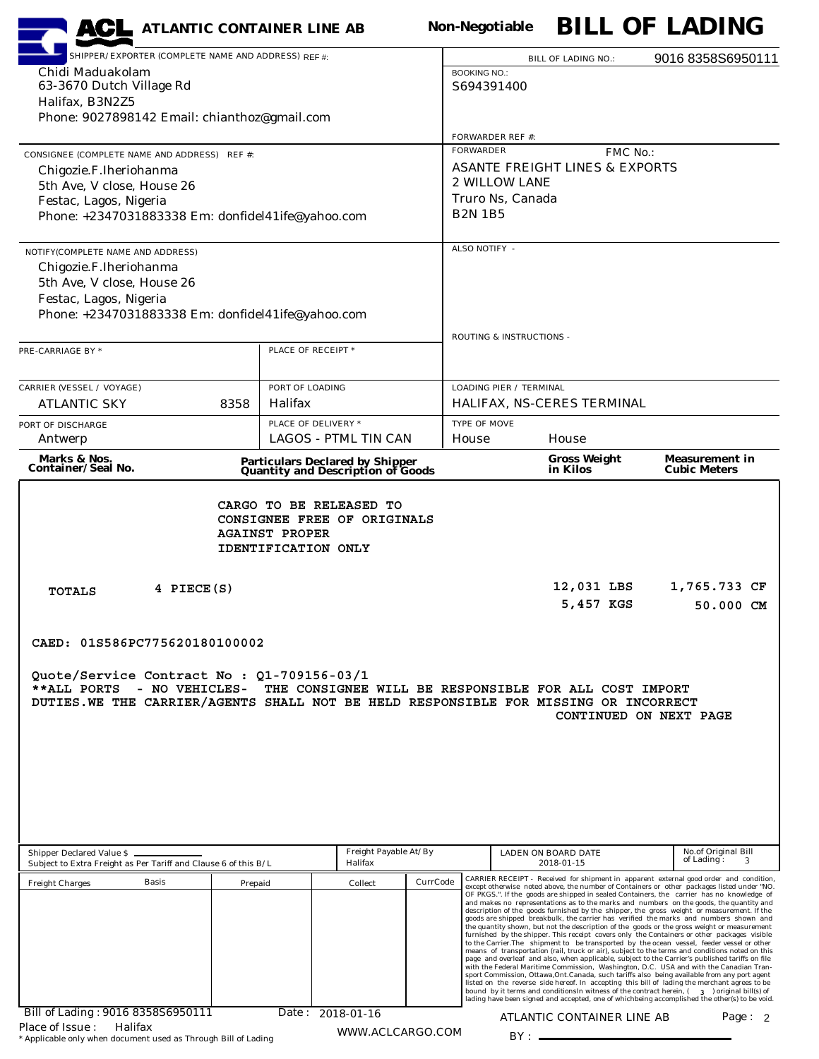| <b>ACL</b> ATLANTIC CONTAINER LINE AB                                                                                                            |         |                                              |                                                                              |          | <b>Non-Negotiable</b>          |                                                                                                                                                                                                                                                                                                                                                                                                                                                                                                                                                                                                                                                                                                                                                                                                                                                                                                                                                                                                                                                                                                                                                                                                                                                                              |          | <b>BILL OF LADING</b>                                                                                                                                                                |
|--------------------------------------------------------------------------------------------------------------------------------------------------|---------|----------------------------------------------|------------------------------------------------------------------------------|----------|--------------------------------|------------------------------------------------------------------------------------------------------------------------------------------------------------------------------------------------------------------------------------------------------------------------------------------------------------------------------------------------------------------------------------------------------------------------------------------------------------------------------------------------------------------------------------------------------------------------------------------------------------------------------------------------------------------------------------------------------------------------------------------------------------------------------------------------------------------------------------------------------------------------------------------------------------------------------------------------------------------------------------------------------------------------------------------------------------------------------------------------------------------------------------------------------------------------------------------------------------------------------------------------------------------------------|----------|--------------------------------------------------------------------------------------------------------------------------------------------------------------------------------------|
| SHIPPER/EXPORTER (COMPLETE NAME AND ADDRESS) REF #:                                                                                              |         |                                              |                                                                              |          |                                | <b>BILL OF LADING NO.:</b>                                                                                                                                                                                                                                                                                                                                                                                                                                                                                                                                                                                                                                                                                                                                                                                                                                                                                                                                                                                                                                                                                                                                                                                                                                                   |          | 9016 8358S6950111                                                                                                                                                                    |
| Chidi Maduakolam                                                                                                                                 |         |                                              |                                                                              |          | <b>BOOKING NO.:</b>            |                                                                                                                                                                                                                                                                                                                                                                                                                                                                                                                                                                                                                                                                                                                                                                                                                                                                                                                                                                                                                                                                                                                                                                                                                                                                              |          |                                                                                                                                                                                      |
| 63-3670 Dutch Village Rd<br>Halifax, B3N2Z5                                                                                                      |         |                                              |                                                                              |          | S694391400                     |                                                                                                                                                                                                                                                                                                                                                                                                                                                                                                                                                                                                                                                                                                                                                                                                                                                                                                                                                                                                                                                                                                                                                                                                                                                                              |          |                                                                                                                                                                                      |
| Phone: 9027898142 Email: chianthoz@gmail.com                                                                                                     |         |                                              |                                                                              |          |                                |                                                                                                                                                                                                                                                                                                                                                                                                                                                                                                                                                                                                                                                                                                                                                                                                                                                                                                                                                                                                                                                                                                                                                                                                                                                                              |          |                                                                                                                                                                                      |
|                                                                                                                                                  |         |                                              |                                                                              |          | FORWARDER REF #:               |                                                                                                                                                                                                                                                                                                                                                                                                                                                                                                                                                                                                                                                                                                                                                                                                                                                                                                                                                                                                                                                                                                                                                                                                                                                                              |          |                                                                                                                                                                                      |
| CONSIGNEE (COMPLETE NAME AND ADDRESS) REF #:                                                                                                     |         |                                              |                                                                              |          | <b>FORWARDER</b>               | <b>ASANTE FREIGHT LINES &amp; EXPORTS</b>                                                                                                                                                                                                                                                                                                                                                                                                                                                                                                                                                                                                                                                                                                                                                                                                                                                                                                                                                                                                                                                                                                                                                                                                                                    | FMC No.: |                                                                                                                                                                                      |
| Chigozie.F.Iheriohanma<br>5th Ave, V close, House 26                                                                                             |         |                                              |                                                                              |          | 2 WILLOW LANE                  |                                                                                                                                                                                                                                                                                                                                                                                                                                                                                                                                                                                                                                                                                                                                                                                                                                                                                                                                                                                                                                                                                                                                                                                                                                                                              |          |                                                                                                                                                                                      |
| Festac, Lagos, Nigeria                                                                                                                           |         |                                              |                                                                              |          | Truro Ns, Canada               |                                                                                                                                                                                                                                                                                                                                                                                                                                                                                                                                                                                                                                                                                                                                                                                                                                                                                                                                                                                                                                                                                                                                                                                                                                                                              |          |                                                                                                                                                                                      |
| Phone: +2347031883338 Em: donfidel41ife@yahoo.com                                                                                                |         |                                              |                                                                              |          | <b>B2N 1B5</b>                 |                                                                                                                                                                                                                                                                                                                                                                                                                                                                                                                                                                                                                                                                                                                                                                                                                                                                                                                                                                                                                                                                                                                                                                                                                                                                              |          |                                                                                                                                                                                      |
| NOTIFY(COMPLETE NAME AND ADDRESS)                                                                                                                |         |                                              |                                                                              |          | ALSO NOTIFY -                  |                                                                                                                                                                                                                                                                                                                                                                                                                                                                                                                                                                                                                                                                                                                                                                                                                                                                                                                                                                                                                                                                                                                                                                                                                                                                              |          |                                                                                                                                                                                      |
| Chigozie.F.Iheriohanma                                                                                                                           |         |                                              |                                                                              |          |                                |                                                                                                                                                                                                                                                                                                                                                                                                                                                                                                                                                                                                                                                                                                                                                                                                                                                                                                                                                                                                                                                                                                                                                                                                                                                                              |          |                                                                                                                                                                                      |
| 5th Ave, V close, House 26<br>Festac, Lagos, Nigeria                                                                                             |         |                                              |                                                                              |          |                                |                                                                                                                                                                                                                                                                                                                                                                                                                                                                                                                                                                                                                                                                                                                                                                                                                                                                                                                                                                                                                                                                                                                                                                                                                                                                              |          |                                                                                                                                                                                      |
| Phone: +2347031883338 Em: donfidel41ife@yahoo.com                                                                                                |         |                                              |                                                                              |          |                                |                                                                                                                                                                                                                                                                                                                                                                                                                                                                                                                                                                                                                                                                                                                                                                                                                                                                                                                                                                                                                                                                                                                                                                                                                                                                              |          |                                                                                                                                                                                      |
|                                                                                                                                                  |         |                                              |                                                                              |          | ROUTING & INSTRUCTIONS -       |                                                                                                                                                                                                                                                                                                                                                                                                                                                                                                                                                                                                                                                                                                                                                                                                                                                                                                                                                                                                                                                                                                                                                                                                                                                                              |          |                                                                                                                                                                                      |
| PRE-CARRIAGE BY *                                                                                                                                |         | PLACE OF RECEIPT *                           |                                                                              |          |                                |                                                                                                                                                                                                                                                                                                                                                                                                                                                                                                                                                                                                                                                                                                                                                                                                                                                                                                                                                                                                                                                                                                                                                                                                                                                                              |          |                                                                                                                                                                                      |
| <b>CARRIER (VESSEL / VOYAGE)</b>                                                                                                                 |         | PORT OF LOADING                              |                                                                              |          | <b>LOADING PIER / TERMINAL</b> |                                                                                                                                                                                                                                                                                                                                                                                                                                                                                                                                                                                                                                                                                                                                                                                                                                                                                                                                                                                                                                                                                                                                                                                                                                                                              |          |                                                                                                                                                                                      |
| <b>ATLANTIC SKY</b>                                                                                                                              | 8358    | Halifax                                      |                                                                              |          |                                | HALIFAX, NS-CERES TERMINAL                                                                                                                                                                                                                                                                                                                                                                                                                                                                                                                                                                                                                                                                                                                                                                                                                                                                                                                                                                                                                                                                                                                                                                                                                                                   |          |                                                                                                                                                                                      |
| PORT OF DISCHARGE                                                                                                                                |         | PLACE OF DELIVERY *                          |                                                                              |          | <b>TYPE OF MOVE</b>            |                                                                                                                                                                                                                                                                                                                                                                                                                                                                                                                                                                                                                                                                                                                                                                                                                                                                                                                                                                                                                                                                                                                                                                                                                                                                              |          |                                                                                                                                                                                      |
| Antwerp                                                                                                                                          |         |                                              | LAGOS - PTML TIN CAN                                                         |          | House                          | House                                                                                                                                                                                                                                                                                                                                                                                                                                                                                                                                                                                                                                                                                                                                                                                                                                                                                                                                                                                                                                                                                                                                                                                                                                                                        |          |                                                                                                                                                                                      |
| Marks & Nos.<br>Container/Seal No.                                                                                                               |         |                                              | <b>Particulars Declared by Shipper<br/>Quantity and Description of Goods</b> |          |                                | <b>Gross Weight</b><br>in Kilos                                                                                                                                                                                                                                                                                                                                                                                                                                                                                                                                                                                                                                                                                                                                                                                                                                                                                                                                                                                                                                                                                                                                                                                                                                              |          | <b>Measurement in</b><br><b>Cubic Meters</b>                                                                                                                                         |
|                                                                                                                                                  |         | <b>AGAINST PROPER</b><br>IDENTIFICATION ONLY | CONSIGNEE FREE OF ORIGINALS                                                  |          |                                |                                                                                                                                                                                                                                                                                                                                                                                                                                                                                                                                                                                                                                                                                                                                                                                                                                                                                                                                                                                                                                                                                                                                                                                                                                                                              |          |                                                                                                                                                                                      |
| 4 PIECE(S)<br><b>TOTALS</b>                                                                                                                      |         |                                              |                                                                              |          |                                | 12,031 LBS<br>5,457 KGS                                                                                                                                                                                                                                                                                                                                                                                                                                                                                                                                                                                                                                                                                                                                                                                                                                                                                                                                                                                                                                                                                                                                                                                                                                                      |          | 1,765.733 CF<br>50.000 CM                                                                                                                                                            |
|                                                                                                                                                  |         |                                              |                                                                              |          |                                |                                                                                                                                                                                                                                                                                                                                                                                                                                                                                                                                                                                                                                                                                                                                                                                                                                                                                                                                                                                                                                                                                                                                                                                                                                                                              |          |                                                                                                                                                                                      |
| CAED: 01S586PC775620180100002                                                                                                                    |         |                                              |                                                                              |          |                                |                                                                                                                                                                                                                                                                                                                                                                                                                                                                                                                                                                                                                                                                                                                                                                                                                                                                                                                                                                                                                                                                                                                                                                                                                                                                              |          |                                                                                                                                                                                      |
| Quote/Service Contract No : Q1-709156-03/1<br>**ALL PORTS<br>DUTIES.WE THE CARRIER/AGENTS SHALL NOT BE HELD RESPONSIBLE FOR MISSING OR INCORRECT |         |                                              |                                                                              |          |                                | - NO VEHICLES- THE CONSIGNEE WILL BE RESPONSIBLE FOR ALL COST IMPORT<br>CONTINUED ON NEXT PAGE                                                                                                                                                                                                                                                                                                                                                                                                                                                                                                                                                                                                                                                                                                                                                                                                                                                                                                                                                                                                                                                                                                                                                                               |          |                                                                                                                                                                                      |
| Shipper Declared Value \$<br>Subject to Extra Freight as Per Tariff and Clause 6 of this B/L                                                     |         |                                              | Freight Payable At/By<br>Halifax                                             |          |                                | LADEN ON BOARD DATE<br>2018-01-15                                                                                                                                                                                                                                                                                                                                                                                                                                                                                                                                                                                                                                                                                                                                                                                                                                                                                                                                                                                                                                                                                                                                                                                                                                            |          | No.of Original Bill<br>of Lading:                                                                                                                                                    |
| <b>Basis</b><br><b>Freight Charges</b>                                                                                                           | Prepaid |                                              | Collect                                                                      | CurrCode |                                |                                                                                                                                                                                                                                                                                                                                                                                                                                                                                                                                                                                                                                                                                                                                                                                                                                                                                                                                                                                                                                                                                                                                                                                                                                                                              |          | CARRIER RECEIPT - Received for shipment in apparent external good order and condition,<br>except otherwise noted above, the number of Containers or other packages listed under "NO. |
|                                                                                                                                                  |         |                                              |                                                                              |          |                                | OF PKGS.". If the goods are shipped in sealed Containers, the carrier has no knowledge of<br>and makes no representations as to the marks and numbers on the goods, the quantity and<br>description of the goods furnished by the shipper, the gross weight or measurement. If the<br>goods are shipped breakbulk, the carrier has verified the marks and numbers shown and<br>the quantity shown, but not the description of the goods or the gross weight or measurement<br>furnished by the shipper. This receipt covers only the Containers or other packages visible<br>to the Carrier. The shipment to be transported by the ocean vessel, feeder vessel or other<br>means of transportation (rail, truck or air), subject to the terms and conditions noted on this<br>page and overleaf and also, when applicable, subject to the Carrier's published tariffs on file<br>with the Federal Maritime Commission, Washington, D.C. USA and with the Canadian Tran-<br>sport Commission, Ottawa, Ont. Canada, such tariffs also being available from any port agent<br>listed on the reverse side hereof. In accepting this bill of lading the merchant agrees to be<br>bound by it terms and conditions<br>In witness of the contract herein, $(3)$ original bill(s) of |          | lading have been signed and accepted, one of whichbeing accomplished the other(s) to be void.                                                                                        |
| Bill of Lading: 9016 8358S6950111<br>Halifax<br>Place of Issue:                                                                                  |         |                                              | Date: 2018-01-16                                                             |          |                                | ATLANTIC CONTAINER LINE AB                                                                                                                                                                                                                                                                                                                                                                                                                                                                                                                                                                                                                                                                                                                                                                                                                                                                                                                                                                                                                                                                                                                                                                                                                                                   |          | Page: $2$                                                                                                                                                                            |
| * Applicable only when document used as Through Bill of Lading                                                                                   |         |                                              | WWW.ACLCARGO.COM                                                             |          |                                | $BY:$ —                                                                                                                                                                                                                                                                                                                                                                                                                                                                                                                                                                                                                                                                                                                                                                                                                                                                                                                                                                                                                                                                                                                                                                                                                                                                      |          |                                                                                                                                                                                      |